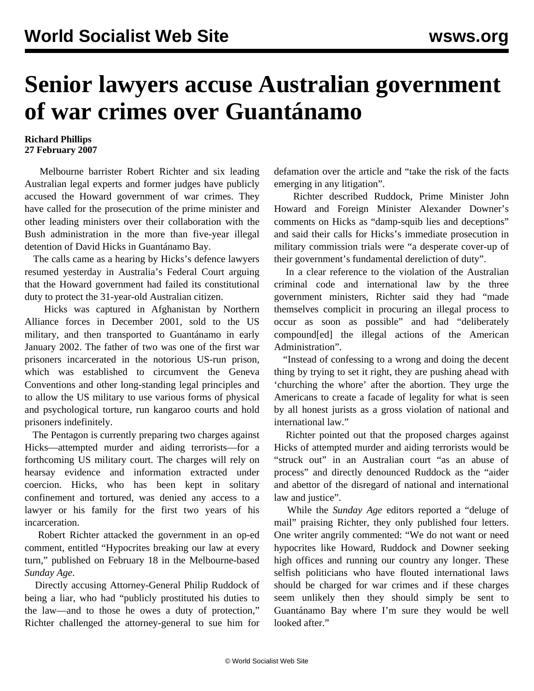## **Senior lawyers accuse Australian government of war crimes over Guantánamo**

## **Richard Phillips 27 February 2007**

 Melbourne barrister Robert Richter and six leading Australian legal experts and former judges have publicly accused the Howard government of war crimes. They have called for the prosecution of the prime minister and other leading ministers over their collaboration with the Bush administration in the more than five-year illegal detention of David Hicks in Guantánamo Bay.

 The calls came as a hearing by Hicks's defence lawyers resumed yesterday in Australia's Federal Court arguing that the Howard government had failed its constitutional duty to protect the 31-year-old Australian citizen.

 Hicks was captured in Afghanistan by Northern Alliance forces in December 2001, sold to the US military, and then transported to Guantánamo in early January 2002. The father of two was one of the first war prisoners incarcerated in the notorious US-run prison, which was established to circumvent the Geneva Conventions and other long-standing legal principles and to allow the US military to use various forms of physical and psychological torture, run kangaroo courts and hold prisoners indefinitely.

 The Pentagon is currently preparing two charges against Hicks—attempted murder and aiding terrorists—for a forthcoming US military court. The charges will rely on hearsay evidence and information extracted under coercion. Hicks, who has been kept in solitary confinement and tortured, was denied any access to a lawyer or his family for the first two years of his incarceration.

 Robert Richter attacked the government in an op-ed comment, entitled "Hypocrites breaking our law at every turn," published on February 18 in the Melbourne-based *Sunday Age*.

 Directly accusing Attorney-General Philip Ruddock of being a liar, who had "publicly prostituted his duties to the law—and to those he owes a duty of protection," Richter challenged the attorney-general to sue him for defamation over the article and "take the risk of the facts emerging in any litigation".

 Richter described Ruddock, Prime Minister John Howard and Foreign Minister Alexander Downer's comments on Hicks as "damp-squib lies and deceptions" and said their calls for Hicks's immediate prosecution in military commission trials were "a desperate cover-up of their government's fundamental dereliction of duty".

 In a clear reference to the violation of the Australian criminal code and international law by the three government ministers, Richter said they had "made themselves complicit in procuring an illegal process to occur as soon as possible" and had "deliberately compound[ed] the illegal actions of the American Administration".

 "Instead of confessing to a wrong and doing the decent thing by trying to set it right, they are pushing ahead with 'churching the whore' after the abortion. They urge the Americans to create a facade of legality for what is seen by all honest jurists as a gross violation of national and international law."

 Richter pointed out that the proposed charges against Hicks of attempted murder and aiding terrorists would be "struck out" in an Australian court "as an abuse of process" and directly denounced Ruddock as the "aider and abettor of the disregard of national and international law and justice".

 While the *Sunday Age* editors reported a "deluge of mail" praising Richter, they only published four letters. One writer angrily commented: "We do not want or need hypocrites like Howard, Ruddock and Downer seeking high offices and running our country any longer. These selfish politicians who have flouted international laws should be charged for war crimes and if these charges seem unlikely then they should simply be sent to Guantánamo Bay where I'm sure they would be well looked after."